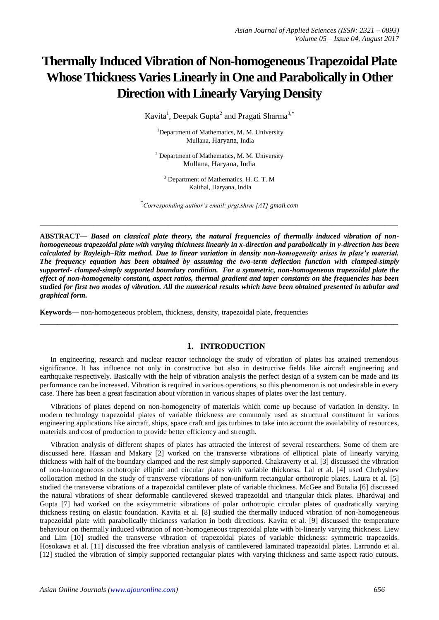# **Thermally Induced Vibration of Non-homogeneous Trapezoidal Plate Whose Thickness Varies Linearly in One and Parabolically in Other Direction with Linearly Varying Density**

Kavita<sup>1</sup>, Deepak Gupta<sup>2</sup> and Pragati Sharma<sup>3,\*</sup>

<sup>1</sup>Department of Mathematics, M. M. University Mullana, Haryana, India

 $2$  Department of Mathematics, M. M. University Mullana, Haryana, India

<sup>3</sup> Department of Mathematics, H. C. T. M Kaithal, Haryana, India

\* *Corresponding author's email: prgt.shrm [AT] gmail.com*

**\_\_\_\_\_\_\_\_\_\_\_\_\_\_\_\_\_\_\_\_\_\_\_\_\_\_\_\_\_\_\_\_\_\_\_\_\_\_\_\_\_\_\_\_\_\_\_\_\_\_\_\_\_\_\_\_\_\_\_\_\_\_\_\_\_\_\_\_\_\_\_\_\_\_\_\_\_\_\_\_\_**

**ABSTRACT—** *Based on classical plate theory, the natural frequencies of thermally induced vibration of nonhomogeneous trapezoidal plate with varying thickness linearly in x-direction and parabolically in y-direction has been calculated by Rayleigh–Ritz method. Due to linear variation in density non-homogeneity arises in plate's material. The frequency equation has been obtained by assuming the two-term deflection function with clamped-simply supported- clamped-simply supported boundary condition. For a symmetric, non-homogeneous trapezoidal plate the effect of non-homogeneity constant, aspect ratios, thermal gradient and taper constants on the frequencies has been studied for first two modes of vibration. All the numerical results which have been obtained presented in tabular and graphical form.*

**Keywords—** non-homogeneous problem, thickness, density, trapezoidal plate, frequencies

## **1. INTRODUCTION**

In engineering, research and nuclear reactor technology the study of vibration of plates has attained tremendous significance. It has influence not only in constructive but also in destructive fields like aircraft engineering and earthquake respectively. Basically with the help of vibration analysis the perfect design of a system can be made and its performance can be increased. Vibration is required in various operations, so this phenomenon is not undesirable in every case. There has been a great fascination about vibration in various shapes of plates over the last century.

**\_\_\_\_\_\_\_\_\_\_\_\_\_\_\_\_\_\_\_\_\_\_\_\_\_\_\_\_\_\_\_\_\_\_\_\_\_\_\_\_\_\_\_\_\_\_\_\_\_\_\_\_\_\_\_\_\_\_\_\_\_\_\_\_\_\_\_\_\_\_\_\_\_\_\_\_\_\_\_\_\_**

Vibrations of plates depend on non-homogeneity of materials which come up because of variation in density. In modern technology trapezoidal plates of variable thickness are commonly used as structural constituent in various engineering applications like aircraft, ships, space craft and gas turbines to take into account the availability of resources, materials and cost of production to provide better efficiency and strength.

Vibration analysis of different shapes of plates has attracted the interest of several researchers. Some of them are discussed here. Hassan and Makary [2] worked on the transverse vibrations of elliptical plate of linearly varying thickness with half of the boundary clamped and the rest simply supported. Chakraverty et al. [3] discussed the vibration of non-homogeneous orthotropic elliptic and circular plates with variable thickness. Lal et al. [4] used Chebyshev collocation method in the study of transverse vibrations of non-uniform rectangular orthotropic plates. Laura et al. [5] studied the transverse vibrations of a trapezoidal cantilever plate of variable thickness. McGee and Butalia [6] discussed the natural vibrations of shear deformable cantilevered skewed trapezoidal and triangular thick plates. Bhardwaj and Gupta [7] had worked on the axisymmetric vibrations of polar orthotropic circular plates of quadratically varying thickness resting on elastic foundation. Kavita et al. [8] studied the thermally induced vibration of non-homogeneous trapezoidal plate with parabolically thickness variation in both directions. Kavita et al. [9] discussed the temperature behaviour on thermally induced vibration of non-homogeneous trapezoidal plate with bi-linearly varying thickness. Liew and Lim [10] studied the transverse vibration of trapezoidal plates of variable thickness: symmetric trapezoids. Hosokawa et al. [11] discussed the free vibration analysis of cantilevered laminated trapezoidal plates. Larrondo et al. [12] studied the vibration of simply supported rectangular plates with varying thickness and same aspect ratio cutouts.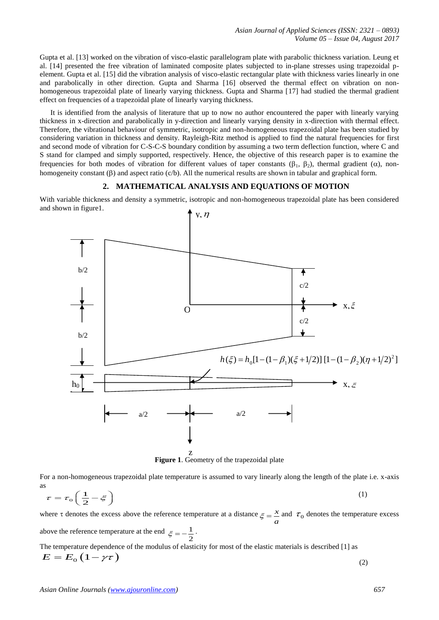Gupta et al. [13] worked on the vibration of visco-elastic parallelogram plate with parabolic thickness variation. Leung et al. [14] presented the free vibration of laminated composite plates subjected to in-plane stresses using trapezoidal pelement. Gupta et al. [15] did the vibration analysis of visco-elastic rectangular plate with thickness varies linearly in one and parabolically in other direction. Gupta and Sharma [16] observed the thermal effect on vibration on nonhomogeneous trapezoidal plate of linearly varying thickness. Gupta and Sharma [17] had studied the thermal gradient effect on frequencies of a trapezoidal plate of linearly varying thickness.

It is identified from the analysis of literature that up to now no author encountered the paper with linearly varying thickness in x-direction and parabolically in y-direction and linearly varying density in x-direction with thermal effect. Therefore, the vibrational behaviour of symmetric, isotropic and non-homogeneous trapezoidal plate has been studied by considering variation in thickness and density. Rayleigh-Ritz method is applied to find the natural frequencies for first and second mode of vibration for C-S-C-S boundary condition by assuming a two term deflection function, where C and S stand for clamped and simply supported, respectively. Hence, the objective of this research paper is to examine the frequencies for both modes of vibration for different values of taper constants ( $\beta_1$ ,  $\beta_2$ ), thermal gradient ( $\alpha$ ), nonhomogeneity constant  $(\beta)$  and aspect ratio  $(c/b)$ . All the numerical results are shown in tabular and graphical form.

#### **2. MATHEMATICAL ANALYSIS AND EQUATIONS OF MOTION**

With variable thickness and density a symmetric, isotropic and non-homogeneous trapezoidal plate has been considered and shown in figure1.



**Figure 1**. Geometry of the trapezoidal plate

For a non-homogeneous trapezoidal plate temperature is assumed to vary linearly along the length of the plate i.e. x-axis as

$$
\tau = \tau_0 \left( \frac{1}{2} - \xi \right) \tag{1}
$$

where  $\tau$  denotes the excess above the reference temperature at a distance  $\epsilon = \frac{x}{\epsilon}$  $\zeta = \frac{x}{a}$  and  $\tau_0$  denotes the temperature excess above the reference temperature at the end  $\varepsilon = -\frac{1}{\varepsilon}$  $\xi = -\frac{1}{2}$ .

The temperature dependence of the modulus of elasticity for most of the elastic materials is described [1] as  $E = E_0 (1 - \gamma \tau)$ (2)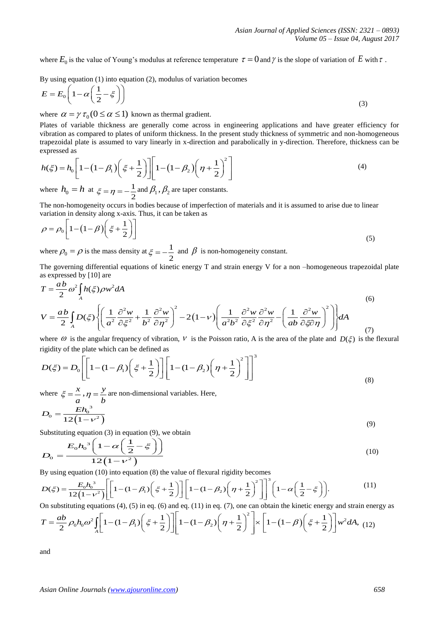where  $E_0$  is the value of Young's modulus at reference temperature  $\tau = 0$  and  $\gamma$  is the slope of variation of E with  $\tau$ .

By using equation (1) into equation (2), modulus of variation becomes  
\n
$$
E = E_0 \left( 1 - \alpha \left( \frac{1}{2} - \xi \right) \right)
$$
\n(3)

where  $\alpha = \gamma \tau_0 (0 \le \alpha \le 1)$  known as thermal gradient.

Plates of variable thickness are generally come across in engineering applications and have greater efficiency for vibration as compared to plates of uniform thickness. In the present study thickness of symmetric and non-homogeneous trapezoidal plate is assumed to vary linearly in x-direction and parabolically in y-direction. Therefore, thickness can be expressed as<br>  $h(\xi) = h_0 \left[ 1 - (1 - \beta_1) \left( \xi + \frac{1}{2} \right) \right] \left[ 1 - (1 - \beta_2) \left( \eta + \frac{1}{2} \right)^2 \right]$  (4) expressed as

expressed as  
\n
$$
h(\xi) = h_0 \left[ 1 - (1 - \beta_1) \left( \xi + \frac{1}{2} \right) \right] \left[ 1 - (1 - \beta_2) \left( \eta + \frac{1}{2} \right)^2 \right]
$$
\n(4)

where  $h_0 = h$  at  $\xi = \eta = -\frac{1}{2}$ 2  $\xi = \eta = -\frac{1}{2}$  and  $\beta_1$ ,  $\beta_2$  are taper constants.

The non-homogeneity occurs in bodies because of imperfection of materials and it is assumed to arise due to linear

variation in density along x-axis. Thus, it can be taken as  
\n
$$
\rho = \rho_0 \left[ 1 - \left( 1 - \beta \right) \left( \xi + \frac{1}{2} \right) \right]
$$
\n(5)

where  $\rho_0 = \rho$  is the mass density at  $\xi = -\frac{1}{2}$ 2  $\xi = -\frac{1}{2}$  and  $\beta$  is non-homogeneity constant.

The governing differential equations of kinetic energy T and strain energy V for a non –homogeneous trapezoidal plate

$$
T = \frac{ab}{2} \omega^2 \int_A h(\xi) \rho w^2 dA
$$
\n
$$
V = \frac{ab}{2} \int_A D(\xi) \left\{ \left( \frac{1}{a^2} \frac{\partial^2 w}{\partial \xi^2} + \frac{1}{b^2} \frac{\partial^2 w}{\partial \eta^2} \right)^2 - 2(1 - v) \left( \frac{1}{a^2 b^2} \frac{\partial^2 w}{\partial \xi^2} \frac{\partial^2 w}{\partial \eta^2} - \left( \frac{1}{ab} \frac{\partial^2 w}{\partial \xi \partial \eta} \right)^2 \right) dA
$$
\nwhere  $\theta$  is the angular frequency of vibration. *V* is the Poisson ratio. A is the area of the plate and  $D(\xi)$  is the flex

where 
$$
\omega
$$
 is the angular frequency of vibration,  $V$  is the Poisson ratio, A is the area of the plate and  $D(\xi)$  is the flexural  
rigidity of the plate which can be defined as  

$$
D(\xi) = D_0 \left[ \left[ 1 - (1 - \beta_1) \left( \xi + \frac{1}{2} \right) \right] \left[ 1 - (1 - \beta_2) \left( \eta + \frac{1}{2} \right)^2 \right] \right]^3
$$
(8)

where  $\xi = \frac{x}{x}$ *a*  $\xi = \frac{x}{\eta}$ ,  $\eta = \frac{y}{\eta}$ *b*  $\eta = \frac{y}{l}$  are non-dimensional variables. Here,

$$
D_0 = \frac{E h_0^3}{12(1 - \nu^2)}
$$
\n(9)

Substituting equation (3) in equation (9), we obtain  
\n
$$
D_0 = \frac{E_0 h_0^3 \left(1 - \alpha \left(\frac{1}{2} - \xi\right)\right)}{12 \left(1 - v^2\right)}
$$
\nBy using equation (10) into equation (8) the value of flexural rigidity becomes  
\n
$$
D(\xi) = \frac{E_0 h_0^3}{12(1 - v^2)} \left[ \left[ 1 - (1 - \beta_1) \left(\xi + \frac{1}{2}\right) \right] \left[ 1 - (1 - \beta_2) \left(\eta + \frac{1}{2}\right)^2 \right] \right]^3 \left( 1 - \alpha \left(\frac{1}{2} - \xi\right) \right).
$$
\n(11)

$$
D_0 = \frac{20.66 \left(1 - \frac{3}{2}\right)}{12(1 - v^2)}
$$
\nBy using equation (10) into equation (8) the value of flexural rigidity becomes

\n
$$
D(\xi) = \frac{E_0 h_0^3}{12(1 - v^2)} \left[ \left[ 1 - (1 - \beta_1) \left( \xi + \frac{1}{2} \right) \right] \left[ 1 - (1 - \beta_2) \left( \eta + \frac{1}{2} \right)^2 \right] \right]^3 \left( 1 - \alpha \left( \frac{1}{2} - \xi \right) \right).
$$
\nOn substituting equations (4), (5) in eq. (6) and eq. (11) in eq. (7), one can obtain the kinetic energy and strain energy as

$$
D(\xi) = \frac{E_0 h_0^3}{12(1 - v^2)} \left[ \left[ 1 - (1 - \beta_1) \left( \xi + \frac{1}{2} \right) \right] \left[ 1 - (1 - \beta_2) \left( \eta + \frac{1}{2} \right)^2 \right] \right]^3 \left( 1 - \alpha \left( \frac{1}{2} - \xi \right) \right).
$$
\n(11)

\nOn substituting equations (4), (5) in eq. (6) and eq. (11) in eq. (7), one can obtain the kinetic energy and strain energy

\n
$$
T = \frac{ab}{2} \rho_0 h_0 \omega^2 \int_A \left[ 1 - (1 - \beta_1) \left( \xi + \frac{1}{2} \right) \right] \left[ 1 - (1 - \beta_2) \left( \eta + \frac{1}{2} \right)^2 \right] \times \left[ 1 - (1 - \beta) \left( \xi + \frac{1}{2} \right) \right] w^2 dA, \quad (12)
$$

and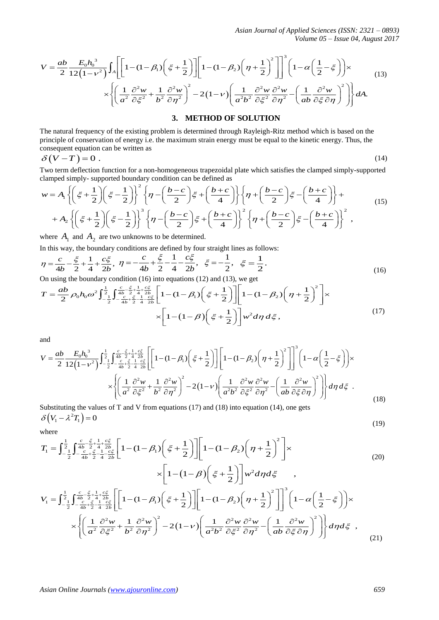*Asian Journal of Applied Sciences (ISSN: 2321 – 0893) Volume 05 – Issue 04, August 2017*

Asian Journal of Applied Sciences (ISSN: 2321 – 0893)

\nAsian Journal of Applied Sciences (ISSN: 2321 – 0893)

\nVolume 05 – Issue 04, August 2017

\n
$$
V = \frac{ab}{2} \frac{E_0 h_0^3}{12(1 - v^2)} \int_A \left[ \left[ 1 - (1 - \beta_1) \left( \xi + \frac{1}{2} \right) \right] \right] \left[ 1 - (1 - \beta_2) \left( \eta + \frac{1}{2} \right)^2 \right] \Big]^3 \left( 1 - \alpha \left( \frac{1}{2} - \xi \right) \right) \times
$$

\n
$$
\times \left\{ \left( \frac{1}{a^2} \frac{\partial^2 w}{\partial \xi^2} + \frac{1}{b^2} \frac{\partial^2 w}{\partial \eta^2} \right)^2 - 2(1 - v) \left( \frac{1}{a^2 b^2} \frac{\partial^2 w}{\partial \xi^2} \frac{\partial^2 w}{\partial \eta^2} - \left( \frac{1}{ab} \frac{\partial^2 w}{\partial \xi \partial \eta} \right)^2 \right) \right\} dA.
$$

\nEXECUTE QD SET UPOV

# **3. METHOD OF SOLUTION**

The natural frequency of the existing problem is determined through Rayleigh-Ritz method which is based on the principle of conservation of energy i.e. the maximum strain energy must be equal to the kinetic energy. Thus, the consequent equation can be written as

$$
\delta(V-T) = 0 \tag{14}
$$

Two term deflection function for a non-homogeneous trapezoidal plate which satisfies the clamped simply-supported

$$
\delta\left(V-T\right) = 0. \tag{14}
$$
\nTwo term deflection function for a non-homogeneous trapezoidal plate which satisfies the clamped simply-supported  
clamped simply- supported boundary condition can be defined as

\n
$$
w = A_1 \left\{ \left( \xi + \frac{1}{2} \right) \left( \xi - \frac{1}{2} \right) \right\}^2 \left\{ \eta - \left( \frac{b-c}{2} \right) \xi + \left( \frac{b+c}{4} \right) \right\} \left\{ \eta + \left( \frac{b-c}{2} \right) \xi - \left( \frac{b+c}{4} \right) \right\} + A_2 \left\{ \left( \xi + \frac{1}{2} \right) \left( \xi - \frac{1}{2} \right) \right\}^3 \left\{ \eta - \left( \frac{b-c}{2} \right) \xi + \left( \frac{b+c}{4} \right) \right\}^2 \left\{ \eta + \left( \frac{b-c}{2} \right) \xi - \left( \frac{b+c}{4} \right) \right\}^2 \right\}, \text{ where } A_1 \text{ and } A_2 \text{ are two unknowns to be determined}
$$
\n(14)

where  $A_1$  and  $A_2$  are two unknowns to be determined.

In this way, the boundary conditions are defined by four straight lines as follows:  
\n
$$
\eta = \frac{c}{4b} - \frac{\xi}{2} + \frac{1}{4} + \frac{c\xi}{2b}, \quad \eta = -\frac{c}{4b} + \frac{\xi}{2} - \frac{1}{4} - \frac{c\xi}{2b}, \quad \xi = -\frac{1}{2}, \quad \xi = \frac{1}{2}.
$$
\nOn using the boundary condition (16) into equations (12) and (13), we get\n
$$
T = \frac{ab}{2} \rho_0 h_0 \omega^2 \int_{-\frac{1}{2}}^{\frac{1}{2}} \int_{-\frac{c}{4b} + \frac{\xi}{2}}^{\frac{c}{4}} \frac{\xi}{4} + \frac{c\xi}{2b} \left[ 1 - (1 - \beta_1) \left( \xi + \frac{1}{2} \right) \right] \left[ 1 - (1 - \beta_2) \left( \eta + \frac{1}{2} \right)^2 \right] \times
$$

On using the boundary condition (16) into equations (12) and (13), we get

In this way, the boundary conditions are defined by four straight lines as follows:  
\n
$$
\eta = \frac{c}{4b} - \frac{\xi}{2} + \frac{1}{4} + \frac{c\xi}{2b}, \quad \eta = -\frac{c}{4b} + \frac{\xi}{2} - \frac{1}{4} - \frac{c\xi}{2b}, \quad \xi = -\frac{1}{2}, \quad \xi = \frac{1}{2}.
$$
\nOn using the boundary condition (16) into equations (12) and (13), we get  
\n
$$
T = \frac{ab}{2} \rho_0 h_0 \omega^2 \int_{-\frac{1}{2}}^{\frac{1}{2}} \int_{-\frac{c}{4b} + \frac{\xi}{2}}^{\frac{c}{4}} \frac{1}{4} \frac{c\xi}{2b} \left[ 1 - (1 - \beta_1) \left( \xi + \frac{1}{2} \right) \right] \left[ 1 - (1 - \beta_2) \left( \eta + \frac{1}{2} \right)^2 \right] \times
$$
\n
$$
\times \left[ 1 - (1 - \beta) \left( \xi + \frac{1}{2} \right) \right] w^2 d\eta d\xi,
$$
\nand  
\n
$$
V = \frac{ab}{2} \frac{E_0 h_0^3}{12(1 - v^2)} \int_{-\frac{1}{2}}^{\frac{1}{2}} \int_{-\frac{c}{4b} + \frac{\xi}{2}}^{\frac{c}{4}} \frac{1}{4} \frac{c\xi}{2b} \left[ 1 - (1 - \beta_1) \left( \xi + \frac{1}{2} \right) \right] \left[ 1 - (1 - \beta_2) \left( \eta + \frac{1}{2} \right)^2 \right] \left[ 1 - \alpha \left( \frac{1}{2} - \xi \right) \right] \times
$$
\n(17)

and

$$
\times \left[1 - (1 - \beta)\left(\xi + \frac{1}{2}\right)\right] w^2 d\eta d\xi,
$$
  
and  

$$
V = \frac{ab}{2} \frac{E_0 h_0^3}{12(1 - v^2)} \int_{-\frac{1}{2}}^{\frac{1}{2}} \int_{-\frac{c}{4b} + \frac{\xi}{2} + \frac{1}{4} \frac{c\xi}{2b}}^{\frac{c}{4}} \left[\left[1 - (1 - \beta_1)\left(\xi + \frac{1}{2}\right)\right] \left[1 - (1 - \beta_2)\left(\eta + \frac{1}{2}\right)^2\right]\right]^3 \left(1 - \alpha\left(\frac{1}{2} - \xi\right)\right) \times \times \left\{\left(\frac{1}{a^2} \frac{\partial^2 w}{\partial \xi^2} + \frac{1}{b^2} \frac{\partial^2 w}{\partial \eta^2}\right)^2 - 2(1 - v)\left(\frac{1}{a^2 b^2} \frac{\partial^2 w}{\partial \xi^2} \frac{\partial^2 w}{\partial \eta^2} - \left(\frac{1}{ab} \frac{\partial^2 w}{\partial \xi \partial \eta}\right)^2\right)\right\} d\eta d\xi.
$$
  
Substituting the values of T and V from equations (17) and (18) into equation (14) one gets

 $\delta\left(V_1 - \lambda^2 T_1\right) = 0$ (19)

where

Substituting the values of T and V from equations (17) and (18) into equation (14), one gets  
\n
$$
\delta\left(V_1 - \lambda^2 T_1\right) = 0
$$
\nwhere  
\n
$$
T_1 = \int_{-\frac{1}{2}}^{\frac{1}{2}} \int_{-\frac{c}{4b} - \frac{\xi}{2} + \frac{1}{4} + \frac{c\xi}{2b}}^{\frac{c}{2}} \left[1 - (1 - \beta_1)\left(\xi + \frac{1}{2}\right)\right] \left[1 - (1 - \beta_2)\left(\eta + \frac{1}{2}\right)^2\right] \times
$$
\n
$$
\times \left[1 - (1 - \beta)\left(\xi + \frac{1}{2}\right)\right] w^2 d\eta d\xi \qquad (20)
$$
\n
$$
\times \left[1 - (1 - \beta)\left(\xi + \frac{1}{2}\right)\right] w^2 d\eta d\xi \qquad (20)
$$
\n
$$
V_1 = \int_{-\frac{1}{2}}^{\frac{1}{2}} \int_{-\frac{c}{4b} - \frac{\xi}{2} + \frac{1}{4} + \frac{c\xi}{2b}}^{\frac{c}{2}} \left[\left[1 - (1 - \beta_1)\left(\xi + \frac{1}{2}\right)\right]\left[1 - (1 - \beta_2)\left(\eta + \frac{1}{2}\right)^2\right]\right]^3 \left(1 - \alpha\left(\frac{1}{2} - \xi\right)\right) \times
$$

2 
$$
12(1-\nu^2)^{3/2}[(1-\nu^2)^{3/2}[(1-\nu^2)^{3/2}] = \sqrt{2(1-\nu)^2} \left[\frac{1}{2\pi^2}\frac{\partial^2 w}{\partial x^2} + \frac{1}{b^2}\frac{\partial^2 w}{\partial y^2}\right]^2 = 2(1-\nu)\left[\frac{1}{2\pi^2}\frac{\partial^2 w}{\partial y^2} - \left(\frac{1}{ab}\frac{\partial^2 w}{\partial z^2}\right)^2\right]d\Lambda.
$$
  
\nThe natural frequency of the existing problem is determined through Rayleigh-Ritz method which is based on the principal equation of energy i.e. the maximum strain energy must be equal to the kinetic energy. Thus, the  $\delta(V-T) = 0$ .  
\n $\delta(V-T) = 0$ .  
\n $\delta(W-T) = 0$ .  
\n $\delta(W-T) = 0$ .  
\n $\delta(W-T) = 0$ .  
\n $\delta(W-T) = 0$ .  
\n $\delta(W-T) = 0$ .  
\n $\delta(W-T) = 0$ .  
\n $\delta(W-T) = 0$ .  
\n $\delta(W-T) = 0$ .  
\n $\delta(W-T) = 0$ .  
\n $\delta(W-T) = 0$ .  
\n $\delta(W-T) = 0$ .  
\n $\delta(W-T) = 0$ .  
\n $\delta(W-T) = 0$ .  
\n $\delta(W-T) = 0$ .  
\n $\delta(W-T) = 0$ .  
\n $\delta(W-T) = 0$ .  
\n $\delta(W-T) = 0$ .  
\n $\delta(W-T) = 0$ .  
\n $\delta(W-T) = 0$ .  
\n $\delta(W-T) = 0$ .  
\n $\delta(W-T) = 0$ .  
\n $\delta(W-T) = 0$ .  
\n $\delta(W-T) = 0$ .  
\n $\delta(W-T) = 0$ .  
\n $\delta(W-T) = 0$ .  
\n $\delta(W-T) = 0$ .  
\n $\delta(W-T) = 0$ .  
\n $\delta(W-T) = 0$ .  
\n $\delta(W-T) = 0$ .  
\n $\delta(W-T) = 0$ .  
\n $\$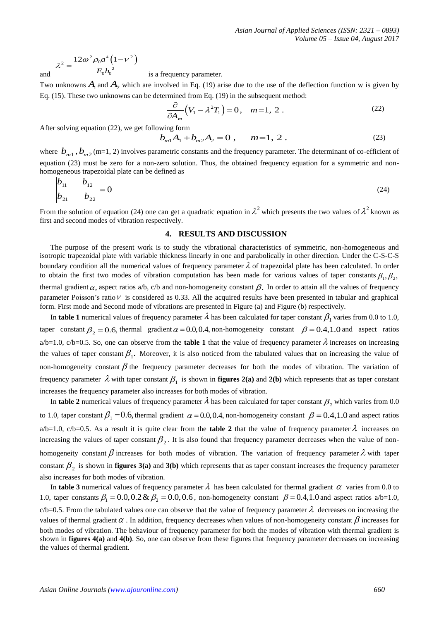and 
$$
\lambda^2 = \frac{12\omega^2 \rho_0 a^4 (1 - v^2)}{E_0 h_0^2}
$$

is a frequency parameter.

Two unknowns  $A_1$  and  $A_2$  which are involved in Eq. (19) arise due to the use of the deflection function w is given by

Eq. (15). These two unknowns can be determined from Eq. (19) in the subsequent method:  
\n
$$
\frac{\partial}{\partial A_m} (V_1 - \lambda^2 T_1) = 0, \quad m = 1, 2.
$$
\n(22)

After solving equation (22), we get following form

wing form  
\n
$$
b_{m1}A_1 + b_{m2}A_2 = 0, \qquad m=1, 2.
$$
\n(23)

where  $b_{m1}$ ,  $b_{m2}$  (m=1, 2) involves parametric constants and the frequency parameter. The determinant of co-efficient of equation (23) must be zero for a non-zero solution. Thus, the obtained frequency equation for a symmetric and nonhomogeneous trapezoidal plate can be defined as

$$
\begin{vmatrix} b_{11} & b_{12} \\ b_{21} & b_{22} \end{vmatrix} = 0
$$
 (24)

From the solution of equation (24) one can get a quadratic equation in  $\lambda^2$  which presents the two values of  $\lambda^2$  known as first and second modes of vibration respectively.

# **4. RESULTS AND DISCUSSION**

The purpose of the present work is to study the vibrational characteristics of symmetric, non-homogeneous and isotropic trapezoidal plate with variable thickness linearly in one and parabolically in other direction. Under the C-S-C-S boundary condition all the numerical values of frequency parameter  $\lambda$  of trapezoidal plate has been calculated. In order to obtain the first two modes of vibration computation has been made for various values of taper constants  $\beta_1, \beta_2,$ thermal gradient  $\alpha$ , aspect ratios a/b, c/b and non-homogeneity constant  $\beta$ . In order to attain all the values of frequency parameter Poisson's ratio  $V$  is considered as 0.33. All the acquired results have been presented in tabular and graphical form. First mode and Second mode of vibrations are presented in Figure (a) and Figure (b) respectively.

In **table 1** numerical values of frequency parameter  $\lambda$  has been calculated for taper constant  $\beta_1$  varies from 0.0 to 1.0, taper constant  $\beta_2 = 0.6$ , thermal gradient  $\alpha = 0.0, 0.4$ , non-homogeneity constant  $\beta = 0.4, 1.0$  and aspect ratios  $a/b=1.0$ ,  $c/b=0.5$ . So, one can observe from the **table 1** that the value of frequency parameter  $\lambda$  increases on increasing the values of taper constant  $\beta_1$ . Moreover, it is also noticed from the tabulated values that on increasing the value of non-homogeneity constant  $\beta$  the frequency parameter decreases for both the modes of vibration. The variation of frequency parameter  $\lambda$  with taper constant  $\beta_1$  is shown in **figures 2(a)** and **2(b)** which represents that as taper constant increases the frequency parameter also increases for both modes of vibration.

In **table 2** numerical values of frequency parameter  $\lambda$  has been calculated for taper constant  $\beta_2$  which varies from 0.0 to 1.0, taper constant  $\beta_1 = 0.6$ , thermal gradient  $\alpha = 0.0, 0.4$ , non-homogeneity constant  $\beta = 0.4, 1.0$  and aspect ratios  $a/b=1.0$ ,  $c/b=0.5$ . As a result it is quite clear from the **table 2** that the value of frequency parameter  $\lambda$  increases on increasing the values of taper constant  $\beta_2$ . It is also found that frequency parameter decreases when the value of nonhomogeneity constant  $\beta$  increases for both modes of vibration. The variation of frequency parameter  $\lambda$  with taper constant  $\beta_2$  is shown in **figures** 3(a) and 3(b) which represents that as taper constant increases the frequency parameter also increases for both modes of vibration.

In **table 3** numerical values of frequency parameter  $\lambda$  has been calculated for thermal gradient  $\alpha$  varies from 0.0 to In table 3 numerical values of frequency parameter  $\lambda$  has been calculated for thermal gradient  $\alpha$  varies from 0.0 to 1.0, taper constants  $\beta_1 = 0.0, 0.2 \& \beta_2 = 0.0, 0.6$ , non-homogeneity constant  $\beta = 0.4, 1.0$  and a  $c/b=0.5$ . From the tabulated values one can observe that the value of frequency parameter  $\lambda$  decreases on increasing the values of thermal gradient  $\alpha$ . In addition, frequency decreases when values of non-homogeneity constant  $\beta$  increases for both modes of vibration. The behaviour of frequency parameter for both the modes of vibration with thermal gradient is shown in **figures 4(a)** and **4(b)**. So, one can observe from these figures that frequency parameter decreases on increasing the values of thermal gradient.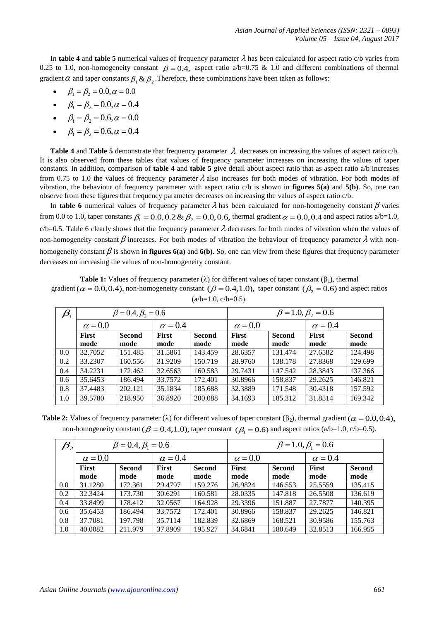In **table 4** and **table 5** numerical values of frequency parameter  $\lambda$  has been calculated for aspect ratio c/b varies from 0.25 to 1.0, non-homogeneity constant  $\beta = 0.4$ , aspect ratio a/b=0.75 & 1.0 and different combinations of thermal gradient  $\alpha$  and taper constants  $\beta_1 \& \beta_2$ . Therefore, these combinations have been taken as follows:

- $\beta_1 = \beta_2 = 0.0, \alpha = 0.0$
- $\beta_1 = \beta_2 = 0.0, \alpha = 0.4$
- $\beta_1 = \beta_2 = 0.6, \alpha = 0.0$
- $\beta_1 = \beta_2 = 0.6, \alpha = 0.4$

**Table 4** and **Table 5** demonstrate that frequency parameter  $\lambda$  decreases on increasing the values of aspect ratio c/b. It is also observed from these tables that values of frequency parameter increases on increasing the values of taper constants. In addition, comparison of **table 4** and **table 5** give detail about aspect ratio that as aspect ratio a/b increases from 0.75 to 1.0 the values of frequency parameter  $\lambda$  also increases for both modes of vibration. For both modes of vibration, the behaviour of frequency parameter with aspect ratio c/b is shown in **figures 5(a)** and **5(b)**. So, one can observe from these figures that frequency parameter decreases on increasing the values of aspect ratio c/b.

In **table 6** numerical values of frequency parameter  $\lambda$  has been calculated for non-homogeneity constant  $\beta$  varies from 0.0 to 1.0, taper constants  $\beta_1 = 0.0, 0.2 \& \beta_2 = 0.0, 0.6$ , thermal gradient  $\alpha = 0.0, 0.4$  and aspect ratios a/b=1.0,  $c/b=0.5$ . Table 6 clearly shows that the frequency parameter  $\lambda$  decreases for both modes of vibration when the values of non-homogeneity constant  $\beta$  increases. For both modes of vibration the behaviour of frequency parameter  $\lambda$  with nonhomogeneity constant  $\beta$  is shown in **figures**  $6(a)$  and  $6(b)$ . So, one can view from these figures that frequency parameter decreases on increasing the values of non-homogeneity constant.

**Table 1:** Values of frequency parameter  $(\lambda)$  for different values of taper constant  $(\beta_1)$ , thermal gradient ( $\alpha$  = 0.0,0.4), non-homogeneity constant ( $\beta$  = 0.4,1.0), taper constant ( $\beta$ <sub>2</sub> = 0.6) and aspect ratios  $(a/b=1.0, c/b=0.5)$ .

| $\beta_{\scriptscriptstyle 1}$ | $\beta = 0.4, \beta_{2} = 0.6$ |               |                |               | $\beta = 1.0, \beta_{2} = 0.6$ |         |                |               |  |
|--------------------------------|--------------------------------|---------------|----------------|---------------|--------------------------------|---------|----------------|---------------|--|
|                                | $\alpha = 0.0$                 |               | $\alpha = 0.4$ |               | $\alpha = 0.0$                 |         | $\alpha = 0.4$ |               |  |
|                                | First                          | <b>Second</b> | <b>First</b>   | <b>Second</b> | First                          | Second  | <b>First</b>   | <b>Second</b> |  |
|                                | mode                           | mode          | mode           | mode          | mode                           | mode    | mode           | mode          |  |
| 0.0                            | 32.7052                        | 151.485       | 31.5861        | 143.459       | 28.6357                        | 131.474 | 27.6582        | 124.498       |  |
| 0.2                            | 33.2307                        | 160.556       | 31.9209        | 150.719       | 28.9760                        | 138.178 | 27.8368        | 129.699       |  |
| 0.4                            | 34.2231                        | 172.462       | 32.6563        | 160.583       | 29.7431                        | 147.542 | 28.3843        | 137.366       |  |
| 0.6                            | 35.6453                        | 186.494       | 33.7572        | 172.401       | 30.8966                        | 158.837 | 29.2625        | 146.821       |  |
| 0.8                            | 37.4483                        | 202.121       | 35.1834        | 185.688       | 32.3889                        | 171.548 | 30.4318        | 157.592       |  |
| 1.0                            | 39.5780                        | 218.950       | 36.8920        | 200.088       | 34.1693                        | 185.312 | 31.8514        | 169.342       |  |

**Table 2:** Values of frequency parameter ( $\lambda$ ) for different values of taper constant ( $\beta$ <sub>2</sub>), thermal gradient ( $\alpha$  = 0.0, 0.4), non-homogeneity constant  $(\beta = 0.4, 1.0)$ , taper constant  $(\beta_1 = 0.6)$  and aspect ratios (a/b=1.0, c/b=0.5).

| $\beta_{\scriptscriptstyle 2}$ | $\beta = 0.4, \beta_1 = 0.6$ |               |                |               | $\beta = 1.0, \beta_1 = 0.6$ |               |                |               |  |
|--------------------------------|------------------------------|---------------|----------------|---------------|------------------------------|---------------|----------------|---------------|--|
|                                | $\alpha = 0.0$               |               | $\alpha = 0.4$ |               | $\alpha = 0.0$               |               | $\alpha = 0.4$ |               |  |
|                                | <b>First</b>                 | <b>Second</b> | <b>First</b>   | <b>Second</b> | First                        | <b>Second</b> | <b>First</b>   | <b>Second</b> |  |
|                                | mode                         | mode          | mode           | mode          | mode                         | mode          | mode           | mode          |  |
| 0.0                            | 31.1280                      | 172.361       | 29.4797        | 159.276       | 26.9824                      | 146.553       | 25.5559        | 135.415       |  |
| 0.2                            | 32.3424                      | 173.730       | 30.6291        | 160.581       | 28.0335                      | 147.818       | 26.5508        | 136.619       |  |
| 0.4                            | 33.8499                      | 178.412       | 32.0567        | 164.928       | 29.3396                      | 151.887       | 27.7877        | 140.395       |  |
| 0.6                            | 35.6453                      | 186.494       | 33.7572        | 172.401       | 30.8966                      | 158.837       | 29.2625        | 146.821       |  |
| 0.8                            | 37.7081                      | 197.798       | 35.7114        | 182.839       | 32.6869                      | 168.521       | 30.9586        | 155.763       |  |
| 1.0                            | 40.0082                      | 211.979       | 37.8909        | 195.927       | 34.6841                      | 180.649       | 32.8513        | 166.955       |  |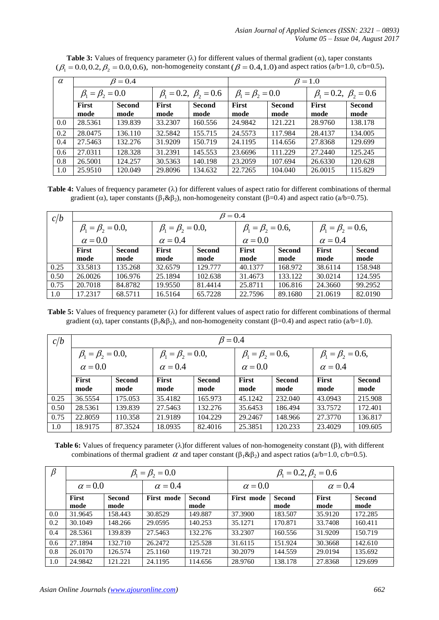| $\alpha$ |                           | $\beta = 0.4$         |                                  |                       | $\beta = 1.0$             |                       |                                  |                       |  |
|----------|---------------------------|-----------------------|----------------------------------|-----------------------|---------------------------|-----------------------|----------------------------------|-----------------------|--|
|          | $\beta_1 = \beta_2 = 0.0$ |                       | $\beta_1 = 0.2, \ \beta_2 = 0.6$ |                       | $\beta_1 = \beta_2 = 0.0$ |                       | $\beta_1 = 0.2, \ \beta_2 = 0.6$ |                       |  |
|          | <b>First</b><br>mode      | <b>Second</b><br>mode | <b>First</b><br>mode             | <b>Second</b><br>mode | <b>First</b><br>mode      | <b>Second</b><br>mode | <b>First</b><br>mode             | <b>Second</b><br>mode |  |
| 0.0      | 28.5361                   | 139.839               | 33.2307                          | 160.556               | 24.9842                   | 121.221               | 28.9760                          | 138.178               |  |
| 0.2      | 28.0475                   | 136.110               | 32.5842                          | 155.715               | 24.5573                   | 117.984               | 28.4137                          | 134.005               |  |
| 0.4      | 27.5463                   | 132.276               | 31.9209                          | 150.719               | 24.1195                   | 114.656               | 27.8368                          | 129.699               |  |
| 0.6      | 27.0311                   | 128.328               | 31.2391                          | 145.553               | 23.6696                   | 111.229               | 27.2440                          | 125.245               |  |
| 0.8      | 26.5001                   | 124.257               | 30.5363                          | 140.198               | 23.2059                   | 107.694               | 26.6330                          | 120.628               |  |
| 1.0      | 25.9510                   | 120.049               | 29.8096                          | 134.632               | 22.7265                   | 104.040               | 26.0015                          | 115.829               |  |

**Table 3:** Values of frequency parameter  $(\lambda)$  for different values of thermal gradient  $(\alpha)$ , taper constants **1 able 3:** Values of frequency parameter ( $\lambda$ ) for different values of thermal gradient ( $\alpha$ ), taper constants ( $\beta$  = 0.0,0.2,  $\beta$ <sub>2</sub> = 0.0,0.6), non-homogeneity constant ( $\beta$  = 0.4,1.0) and aspect ratios ( $a/b=1.0$ ,

Table 4: Values of frequency parameter  $(\lambda)$  for different values of aspect ratio for different combinations of thermal gradient ( $\alpha$ ), taper constants ( $\beta_1 \& \beta_2$ ), non-homogeneity constant ( $\beta$ =0.4) and aspect ratio ( $a/b$ =0.75).

| c/b  | $\beta = 0.4$               |               |                             |               |                             |               |                             |               |  |  |  |
|------|-----------------------------|---------------|-----------------------------|---------------|-----------------------------|---------------|-----------------------------|---------------|--|--|--|
|      | $\beta_1 = \beta_2 = 0.0$ , |               | $\beta_1 = \beta_2 = 0.0$ , |               | $\beta_1 = \beta_2 = 0.6$ , |               | $\beta_1 = \beta_2 = 0.6$ , |               |  |  |  |
|      | $\alpha = 0.0$              |               | $\alpha = 0.4$              |               | $\alpha = 0.0$              |               | $\alpha = 0.4$              |               |  |  |  |
|      | <b>First</b>                | <b>Second</b> | <b>First</b>                | <b>Second</b> | <b>First</b>                | <b>Second</b> | <b>First</b>                | <b>Second</b> |  |  |  |
|      | mode                        | mode          | mode                        | mode          | mode                        | mode          | mode                        | mode          |  |  |  |
| 0.25 | 33.5813                     | 135.268       | 32.6579                     | 129.777       | 40.1377                     | 168.972       | 38.6114                     | 158.948       |  |  |  |
| 0.50 | 26.0026                     | 106.976       | 25.1894                     | 102.638       | 31.4673                     | 133.122       | 30.0214                     | 124.595       |  |  |  |
| 0.75 | 20.7018                     | 84.8782       | 19.9550                     | 81.4414       | 25.8711                     | 106.816       | 24.3660                     | 99.2952       |  |  |  |
| 1.0  | 17.2317                     | 68.5711       | 16.5164                     | 65.7228       | 22.7596                     | 89.1680       | 21.0619                     | 82.0190       |  |  |  |

**Table 5:** Values of frequency parameter ( $\lambda$ ) for different values of aspect ratio for different combinations of thermal gradient ( $\alpha$ ), taper constants ( $\beta_1 \& \beta_2$ ), and non-homogeneity constant ( $\beta$ =0.4) and aspect ratio ( $a/b$ =1.0).

| c/b  | $\beta = 0.4$               |                       |                             |                       |                             |                |                             |                       |  |  |
|------|-----------------------------|-----------------------|-----------------------------|-----------------------|-----------------------------|----------------|-----------------------------|-----------------------|--|--|
|      | $\beta_1 = \beta_2 = 0.0$ , |                       | $\beta_1 = \beta_2 = 0.0$ , |                       | $\beta_1 = \beta_2 = 0.6$ , |                | $\beta_1 = \beta_2 = 0.6$ , |                       |  |  |
|      | $\alpha = 0.0$              |                       | $\alpha = 0.4$              |                       | $\alpha = 0.0$              |                | $\alpha = 0.4$              |                       |  |  |
|      | First<br>mode               | <b>Second</b><br>mode | <b>First</b><br>mode        | <b>Second</b><br>mode | <b>First</b><br>mode        | Second<br>mode | <b>First</b><br>mode        | <b>Second</b><br>mode |  |  |
| 0.25 | 36.5554                     | 175.053               | 35.4182                     | 165.973               | 45.1242                     | 232.040        | 43.0943                     | 215.908               |  |  |
| 0.50 | 28.5361                     | 139.839               | 27.5463                     | 132.276               | 35.6453                     | 186.494        | 33.7572                     | 172.401               |  |  |
| 0.75 | 22.8059                     | 110.358               | 21.9189                     | 104.229               | 29.2467                     | 148.966        | 27,3770                     | 136.817               |  |  |
| 1.0  | 18.9175                     | 87.3524               | 18.0935                     | 82.4016               | 25.3851                     | 120.233        | 23.4029                     | 109.605               |  |  |

**Table 6:** Values of frequency parameter ( $\lambda$ )for different values of non-homogeneity constant ( $\beta$ ), with different combinations of thermal gradient  $\alpha$  and taper constant ( $\beta_1 \& \beta_2$ ) and aspect ratios (a/b=1.0, c/b=0.5).

| $\beta$ |                |                       | $\beta_1 = \beta_2 = 0.0$ |                       | $\beta_1 = 0.2, \beta_2 = 0.6$ |                       |                      |                       |  |
|---------|----------------|-----------------------|---------------------------|-----------------------|--------------------------------|-----------------------|----------------------|-----------------------|--|
|         | $\alpha = 0.0$ |                       | $\alpha = 0.4$            |                       | $\alpha = 0.0$                 |                       | $\alpha = 0.4$       |                       |  |
|         | First<br>mode  | <b>Second</b><br>mode | First mode                | <b>Second</b><br>mode | First mode                     | <b>Second</b><br>mode | <b>First</b><br>mode | <b>Second</b><br>mode |  |
| 0.0     | 31.9645        | 158.443               | 30.8529                   | 149.887               | 37.3900                        | 183.507               | 35.9120              | 172.285               |  |
| 0.2     | 30.1049        | 148.266               | 29.0595                   | 140.253               | 35.1271                        | 170.871               | 33.7408              | 160.411               |  |
| 0.4     | 28.5361        | 139.839               | 27.5463                   | 132.276               | 33.2307                        | 160.556               | 31.9209              | 150.719               |  |
| 0.6     | 27.1894        | 132.710               | 26.2472                   | 125.528               | 31.6115                        | 151.924               | 30.3668              | 142.610               |  |
| 0.8     | 26.0170        | 126.574               | 25.1160                   | 119.721               | 30.2079                        | 144.559               | 29.0194              | 135.692               |  |
| 1.0     | 24.9842        | 121.221               | 24.1195                   | 114.656               | 28.9760                        | 138.178               | 27.8368              | 129.699               |  |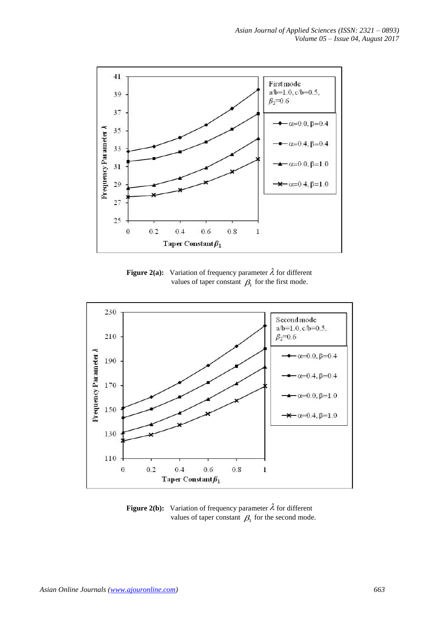

**Figure 2(a):** Variation of frequency parameter  $\lambda$  for different values of taper constant  $\beta_1$  for the first mode.



**Figure 2(b):** Variation of frequency parameter  $\lambda$  for different values of taper constant  $\beta_1$  for the second mode.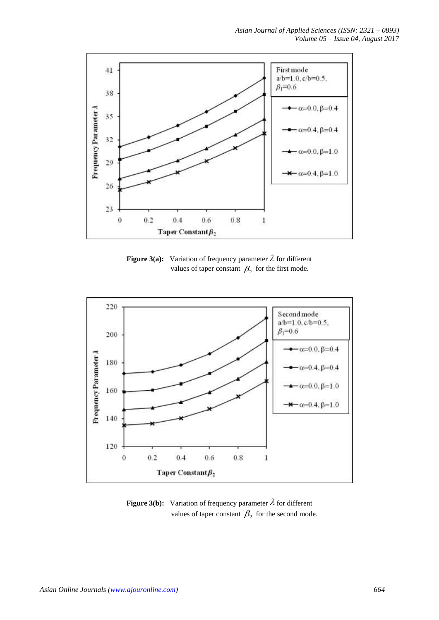

**Figure 3(a):** Variation of frequency parameter  $\lambda$  for different values of taper constant  $\beta_2$  for the first mode.



**Figure 3(b):** Variation of frequency parameter  $\lambda$  for different values of taper constant  $\beta_2$  for the second mode.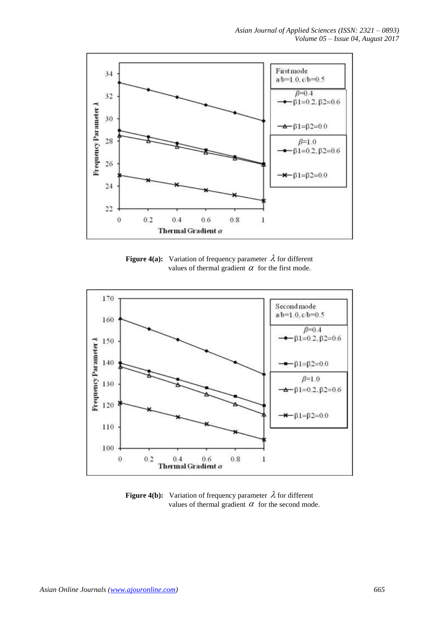

**Figure 4(a):** Variation of frequency parameter  $\lambda$  for different values of thermal gradient  $\alpha$  for the first mode.



**Figure 4(b):** Variation of frequency parameter  $\lambda$  for different values of thermal gradient  $\alpha$  for the second mode.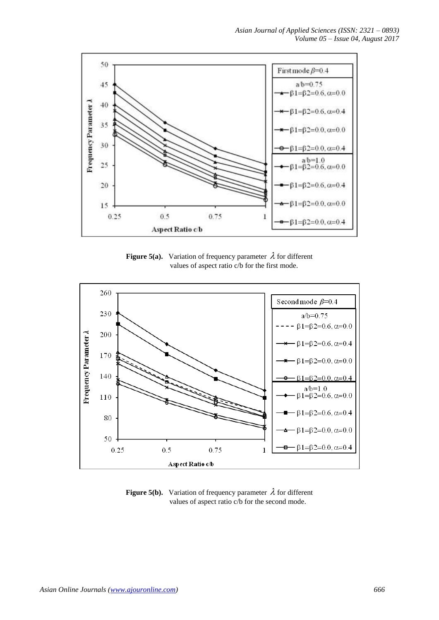

**Figure 5(a).** Variation of frequency parameter  $\lambda$  for different values of aspect ratio c/b for the first mode.



**Figure 5(b).** Variation of frequency parameter  $\lambda$  for different values of aspect ratio c/b for the second mode.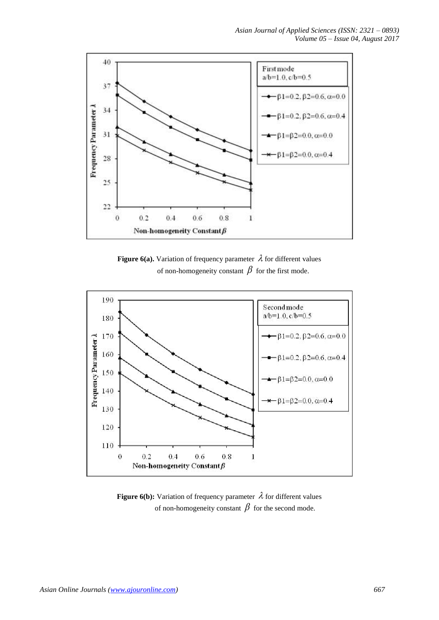

**Figure 6(a).** Variation of frequency parameter  $\lambda$  for different values of non-homogeneity constant  $\beta$  for the first mode.



**Figure 6(b):** Variation of frequency parameter  $\lambda$  for different values of non-homogeneity constant  $\beta$  for the second mode.